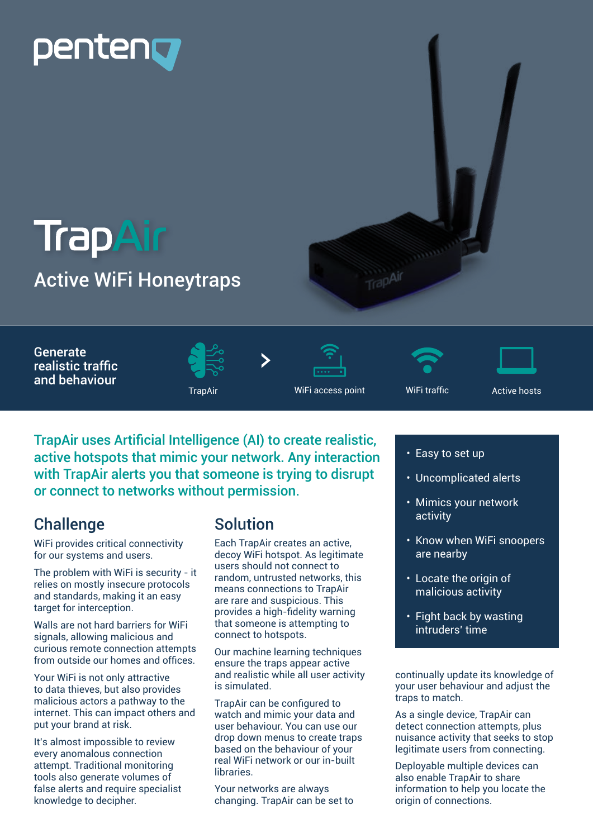# Dentenn

### **TrapAir** Active WiFi Honeytraps



Generate realistic traffic and behaviour







TrapAir uses Artificial Intelligence (AI) to create realistic, active hotspots that mimic your network. Any interaction with TrapAir alerts you that someone is trying to disrupt or connect to networks without permission.

#### **Challenge**

WiFi provides critical connectivity for our systems and users.

The problem with WiFi is security - it relies on mostly insecure protocols and standards, making it an easy target for interception.

Walls are not hard barriers for WiFi signals, allowing malicious and curious remote connection attempts from outside our homes and offices.

Your WiFi is not only attractive to data thieves, but also provides malicious actors a pathway to the internet. This can impact others and put your brand at risk.

It's almost impossible to review every anomalous connection attempt. Traditional monitoring tools also generate volumes of false alerts and require specialist knowledge to decipher.

### Solution

Each TrapAir creates an active, decoy WiFi hotspot. As legitimate users should not connect to random, untrusted networks, this means connections to TrapAir are rare and suspicious. This provides a high-fidelity warning that someone is attempting to connect to hotspots.

Our machine learning techniques ensure the traps appear active and realistic while all user activity is simulated.

TrapAir can be configured to watch and mimic your data and user behaviour. You can use our drop down menus to create traps based on the behaviour of your real WiFi network or our in-built **libraries** 

Your networks are always changing. TrapAir can be set to

- Easy to set up
- Uncomplicated alerts
- Mimics your network activity
- Know when WiFi snoopers are nearby
- Locate the origin of malicious activity
- Fight back by wasting intruders' time

continually update its knowledge of your user behaviour and adjust the traps to match.

As a single device, TrapAir can detect connection attempts, plus nuisance activity that seeks to stop legitimate users from connecting.

Deployable multiple devices can also enable TrapAir to share information to help you locate the origin of connections.